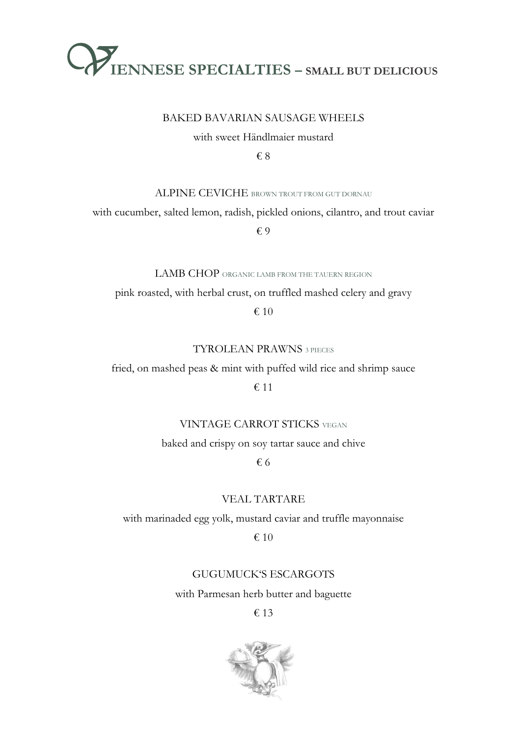

#### BAKED BAVARIAN SAUSAGE WHEELS

with sweet Händlmaier mustard

€ 8

ALPINE CEVICHE BROWN TROUT FROM GUT DORNAU

with cucumber, salted lemon, radish, pickled onions, cilantro, and trout caviar

€ 9

LAMB CHOP ORGANIC LAMB FROM THE TAUERN REGION

pink roasted, with herbal crust, on truffled mashed celery and gravy

€ 10

TYROLEAN PRAWNS 3 PIECES

fried, on mashed peas & mint with puffed wild rice and shrimp sauce

## € 11

VINTAGE CARROT STICKS VEGAN

baked and crispy on soy tartar sauce and chive

€ 6

VEAL TARTARE

with marinaded egg yolk, mustard caviar and truffle mayonnaise

€ 10

## GUGUMUCK'S ESCARGOTS

with Parmesan herb butter and baguette

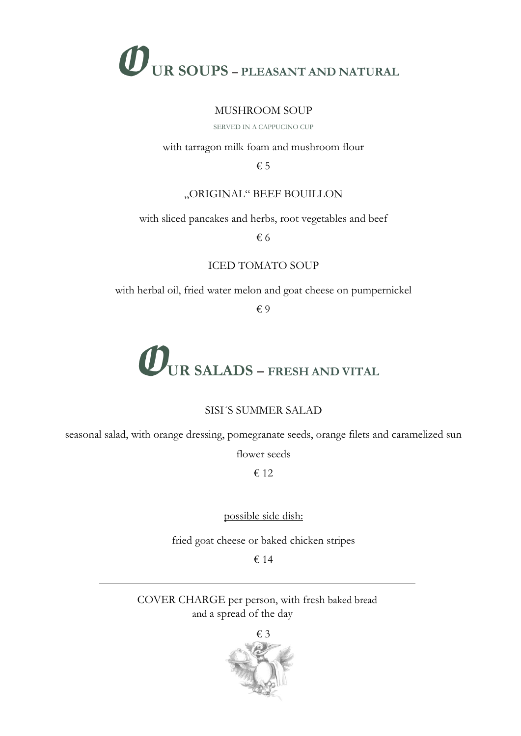

#### MUSHROOM SOUP

SERVED IN A CAPPUCINO CUP

#### with tarragon milk foam and mushroom flour

€ 5

## "ORIGINAL" BEEF BOUILLON

with sliced pancakes and herbs, root vegetables and beef

€ 6

## ICED TOMATO SOUP

with herbal oil, fried water melon and goat cheese on pumpernickel

€ 9

# **UR SALADS – FRESH AND VITAL**

## SISI´S SUMMER SALAD

seasonal salad, with orange dressing, pomegranate seeds, orange filets and caramelized sun

flower seeds

€ 12

possible side dish:

fried goat cheese or baked chicken stripes

€ 14

COVER CHARGE per person, with fresh baked bread and a spread of the day

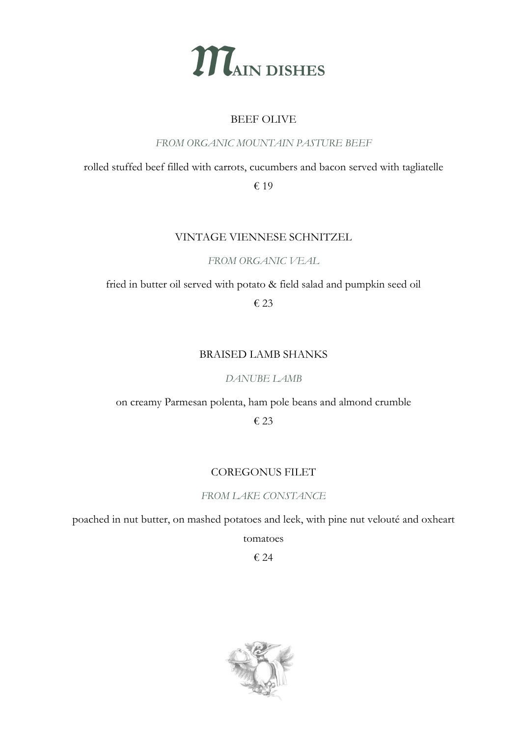

## BEEF OLIVE

*FROM ORGANIC MOUNTAIN PASTURE BEEF*

## rolled stuffed beef filled with carrots, cucumbers and bacon served with tagliatelle € 19

## VINTAGE VIENNESE SCHNITZEL

*FROM ORGANIC VEAL*

fried in butter oil served with potato & field salad and pumpkin seed oil

€ 23

## BRAISED LAMB SHANKS

*DANUBE LAMB*

on creamy Parmesan polenta, ham pole beans and almond crumble

€ 23

## COREGONUS FILET

## *FROM LAKE CONSTANCE*

poached in nut butter, on mashed potatoes and leek, with pine nut velouté and oxheart

tomatoes

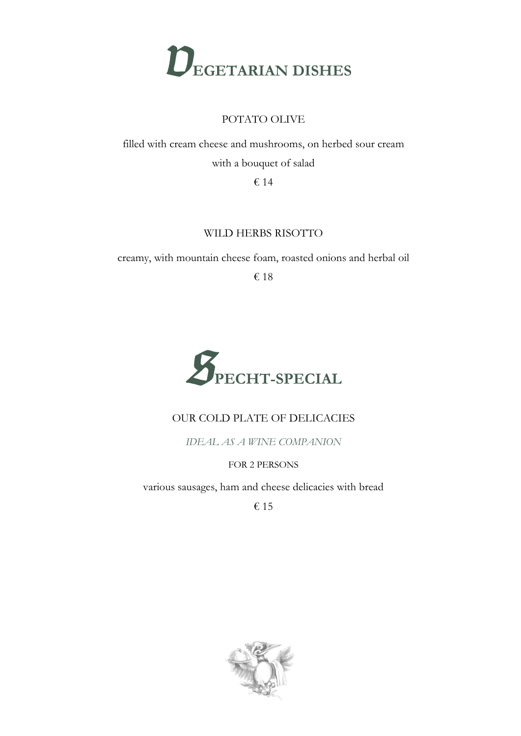

## POTATO OLIVE

filled with cream cheese and mushrooms, on herbed sour cream with a bouquet of salad

€ 14

## WILD HERBS RISOTTO

creamy, with mountain cheese foam, roasted onions and herbal oil

€ 18



## OUR COLD PLATE OF DELICACIES

*IDEAL AS A WINE COMPANION*

FOR 2 PERSONS

various sausages, ham and cheese delicacies with bread